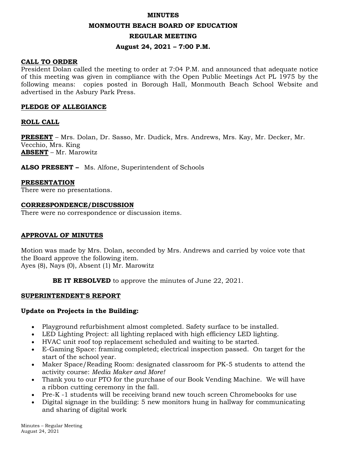#### **MINUTES**

### **MONMOUTH BEACH BOARD OF EDUCATION**

#### **REGULAR MEETING**

### **August 24, 2021 – 7:00 P.M.**

### **CALL TO ORDER**

President Dolan called the meeting to order at 7:04 P.M. and announced that adequate notice of this meeting was given in compliance with the Open Public Meetings Act PL 1975 by the following means: copies posted in Borough Hall, Monmouth Beach School Website and advertised in the Asbury Park Press.

#### **PLEDGE OF ALLEGIANCE**

### **ROLL CALL**

**PRESENT** – Mrs. Dolan, Dr. Sasso, Mr. Dudick, Mrs. Andrews, Mrs. Kay, Mr. Decker, Mr. Vecchio, Mrs. King **ABSENT** – Mr. Marowitz

**ALSO PRESENT –** Ms. Alfone, Superintendent of Schools

#### **PRESENTATION**

There were no presentations.

#### **CORRESPONDENCE/DISCUSSION**

There were no correspondence or discussion items.

#### **APPROVAL OF MINUTES**

Motion was made by Mrs. Dolan, seconded by Mrs. Andrews and carried by voice vote that the Board approve the following item. Ayes (8), Nays (0), Absent (1) Mr. Marowitz

**BE IT RESOLVED** to approve the minutes of June 22, 2021.

#### **SUPERINTENDENT'S REPORT**

### **Update on Projects in the Building:**

- Playground refurbishment almost completed. Safety surface to be installed.
- LED Lighting Project: all lighting replaced with high efficiency LED lighting.
- HVAC unit roof top replacement scheduled and waiting to be started.
- E-Gaming Space: framing completed; electrical inspection passed. On target for the start of the school year.
- Maker Space/Reading Room: designated classroom for PK-5 students to attend the activity course: *Media Maker and More!*
- Thank you to our PTO for the purchase of our Book Vending Machine. We will have a ribbon cutting ceremony in the fall.
- Pre-K -1 students will be receiving brand new touch screen Chromebooks for use
- Digital signage in the building: 5 new monitors hung in hallway for communicating and sharing of digital work

Minutes – Regular Meeting August 24, 2021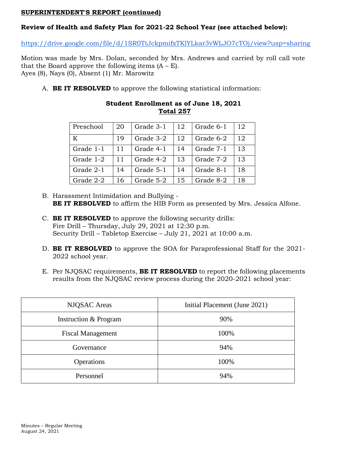## **SUPERINTENDENT'S REPORT (continued)**

# **Review of Health and Safety Plan for 2021-22 School Year (see attached below):**

<https://drive.google.com/file/d/1SR0TtJckpmifxTKlYLkar3vWLJO7cTOj/view?usp=sharing>

Motion was made by Mrs. Dolan, seconded by Mrs. Andrews and carried by roll call vote that the Board approve the following items  $(A - E)$ . Ayes (8), Nays (0), Absent (1) Mr. Marowitz

A. **BE IT RESOLVED** to approve the following statistical information:

| Preschool | 20 | Grade 3-1 | 12 | Grade 6-1 | 12 |
|-----------|----|-----------|----|-----------|----|
| K         | 19 | Grade 3-2 | 12 | Grade 6-2 | 12 |
| Grade 1-1 | 11 | Grade 4-1 | 14 | Grade 7-1 | 13 |
| Grade 1-2 | 11 | Grade 4-2 | 13 | Grade 7-2 | 13 |
| Grade 2-1 | 14 | Grade 5-1 | 14 | Grade 8-1 | 18 |
| Grade 2-2 | 16 | Grade 5-2 | 15 | Grade 8-2 | 18 |

## **Student Enrollment as of June 18, 2021 Total 257**

- B. Harassment Intimidation and Bullying **BE IT RESOLVED** to affirm the HIB Form as presented by Mrs. Jessica Alfone.
- C. **BE IT RESOLVED** to approve the following security drills: Fire Drill – Thursday, July 29, 2021 at 12:30 p.m. Security Drill – Tabletop Exercise – July 21, 2021 at 10:00 a.m.
- D. **BE IT RESOLVED** to approve the SOA for Paraprofessional Staff for the 2021- 2022 school year.
- E. Per NJQSAC requirements, **BE IT RESOLVED** to report the following placements results from the NJQSAC review process during the 2020-2021 school year:

| <b>NJQSAC</b> Areas      | Initial Placement (June 2021) |  |
|--------------------------|-------------------------------|--|
| Instruction & Program    | 90%                           |  |
| <b>Fiscal Management</b> | 100%                          |  |
| Governance               | 94%                           |  |
| Operations               | 100%                          |  |
| Personnel                | 94%                           |  |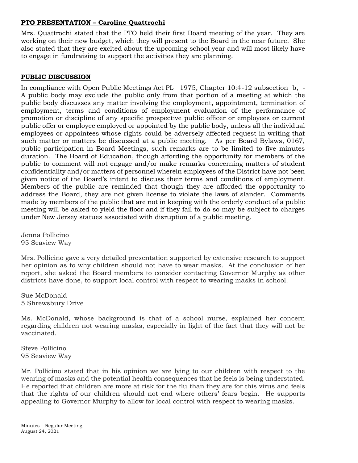# **PTO PRESENTATION – Caroline Quattrochi**

Mrs. Quattrochi stated that the PTO held their first Board meeting of the year. They are working on their new budget, which they will present to the Board in the near future. She also stated that they are excited about the upcoming school year and will most likely have to engage in fundraising to support the activities they are planning.

# **PUBLIC DISCUSSION**

In compliance with Open Public Meetings Act PL 1975, Chapter 10:4-12 subsection b, - A public body may exclude the public only from that portion of a meeting at which the public body discusses any matter involving the employment, appointment, termination of employment, terms and conditions of employment evaluation of the performance of promotion or discipline of any specific prospective public officer or employees or current public offer or employee employed or appointed by the public body, unless all the individual employees or appointees whose rights could be adversely affected request in writing that such matter or matters be discussed at a public meeting. As per Board Bylaws, 0167, public participation in Board Meetings, such remarks are to be limited to five minutes duration. The Board of Education, though affording the opportunity for members of the public to comment will not engage and/or make remarks concerning matters of student confidentiality and/or matters of personnel wherein employees of the District have not been given notice of the Board's intent to discuss their terms and conditions of employment. Members of the public are reminded that though they are afforded the opportunity to address the Board, they are not given license to violate the laws of slander. Comments made by members of the public that are not in keeping with the orderly conduct of a public meeting will be asked to yield the floor and if they fail to do so may be subject to charges under New Jersey statues associated with disruption of a public meeting.

Jenna Pollicino 95 Seaview Way

Mrs. Pollicino gave a very detailed presentation supported by extensive research to support her opinion as to why children should not have to wear masks. At the conclusion of her report, she asked the Board members to consider contacting Governor Murphy as other districts have done, to support local control with respect to wearing masks in school.

Sue McDonald 5 Shrewsbury Drive

Ms. McDonald, whose background is that of a school nurse, explained her concern regarding children not wearing masks, especially in light of the fact that they will not be vaccinated.

Steve Pollicino 95 Seaview Way

Mr. Pollicino stated that in his opinion we are lying to our children with respect to the wearing of masks and the potential health consequences that he feels is being understated. He reported that children are more at risk for the flu than they are for this virus and feels that the rights of our children should not end where others' fears begin. He supports appealing to Governor Murphy to allow for local control with respect to wearing masks.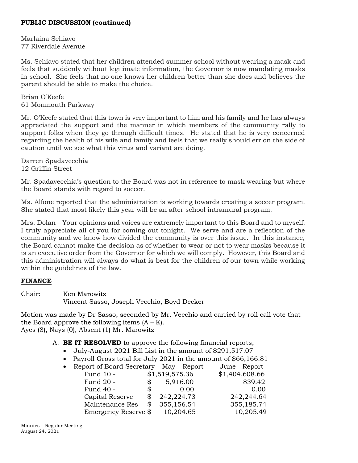# **PUBLIC DISCUSSION (continued)**

Marlaina Schiavo 77 Riverdale Avenue

Ms. Schiavo stated that her children attended summer school without wearing a mask and feels that suddenly without legitimate information, the Governor is now mandating masks in school. She feels that no one knows her children better than she does and believes the parent should be able to make the choice.

Brian O'Keefe 61 Monmouth Parkway

Mr. O'Keefe stated that this town is very important to him and his family and he has always appreciated the support and the manner in which members of the community rally to support folks when they go through difficult times. He stated that he is very concerned regarding the health of his wife and family and feels that we really should err on the side of caution until we see what this virus and variant are doing.

Darren Spadavecchia 12 Griffin Street

Mr. Spadavecchia's question to the Board was not in reference to mask wearing but where the Board stands with regard to soccer.

Ms. Alfone reported that the administration is working towards creating a soccer program. She stated that most likely this year will be an after school intramural program.

Mrs. Dolan – Your opinions and voices are extremely important to this Board and to myself. I truly appreciate all of you for coming out tonight. We serve and are a reflection of the community and we know how divided the community is over this issue. In this instance, the Board cannot make the decision as of whether to wear or not to wear masks because it is an executive order from the Governor for which we will comply. However, this Board and this administration will always do what is best for the children of our town while working within the guidelines of the law.

## **FINANCE**

Chair: Ken Marowitz Vincent Sasso, Joseph Vecchio, Boyd Decker

Motion was made by Dr Sasso, seconded by Mr. Vecchio and carried by roll call vote that the Board approve the following items  $(A - K)$ . Ayes (8), Nays (0), Absent (1) Mr. Marowitz

- A. **BE IT RESOLVED** to approve the following financial reports;
	- July-August 2021 Bill List in the amount of \$291,517.07
	- Payroll Gross total for July 2021 in the amount of \$66,166.81
	- Report of Board Secretary May Report June Report

| $P^{0.2} \circ P^{0.2} \circ P^{0.2} \circ P^{0.2} \circ P^{0.2} \circ P^{0.2} \circ P^{0.2} \circ P^{0.2} \circ P^{0.2} \circ P^{0.2} \circ P^{0.2} \circ P^{0.2} \circ P^{0.2} \circ P^{0.2} \circ P^{0.2} \circ P^{0.2} \circ P^{0.2} \circ P^{0.2} \circ P^{0.2} \circ P^{0.2} \circ P^{0.2} \circ P^{0.2} \circ P^{0.2} \circ P^{0.2} \circ P^{0.2} \circ P^{0.2} \circ P^{0.2} \circ P^{0.$ |    |                |                |
|---------------------------------------------------------------------------------------------------------------------------------------------------------------------------------------------------------------------------------------------------------------------------------------------------------------------------------------------------------------------------------------------------|----|----------------|----------------|
| Fund 10 -                                                                                                                                                                                                                                                                                                                                                                                         |    | \$1,519,575.36 | \$1,404,608.66 |
| Fund 20 -                                                                                                                                                                                                                                                                                                                                                                                         | S. | 5,916.00       | 839.42         |
| Fund 40 -                                                                                                                                                                                                                                                                                                                                                                                         | S. | 0.00           | 0.00           |
| Capital Reserve                                                                                                                                                                                                                                                                                                                                                                                   |    | 242,224.73     | 242,244.64     |
| Maintenance Res                                                                                                                                                                                                                                                                                                                                                                                   | \$ | 355,156.54     | 355,185.74     |
| Emergency Reserve \$                                                                                                                                                                                                                                                                                                                                                                              |    | 10,204.65      | 10,205.49      |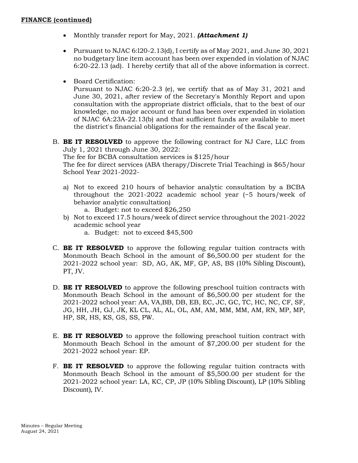- Monthly transfer report for May, 2021. *(Attachment 1)*
- Pursuant to NJAC 6:120-2.13(d), I certify as of May 2021, and June 30, 2021 no budgetary line item account has been over expended in violation of NJAC 6:20-22.13 (ad). I hereby certify that all of the above information is correct.
- Board Certification:

Pursuant to NJAC 6:20-2.3 (e), we certify that as of May 31, 2021 and June 30, 2021, after review of the Secretary's Monthly Report and upon consultation with the appropriate district officials, that to the best of our knowledge, no major account or fund has been over expended in violation of NJAC 6A:23A-22.13(b) and that sufficient funds are available to meet the district's financial obligations for the remainder of the fiscal year.

B. **BE IT RESOLVED** to approve the following contract for NJ Care, LLC from July 1, 2021 through June 30, 2022:

The fee for BCBA consultation services is \$125/hour

The fee for direct services (ABA therapy/Discrete Trial Teaching) is \$65/hour School Year 2021-2022-

a) Not to exceed 210 hours of behavior analytic consultation by a BCBA throughout the 2021-2022 academic school year (~5 hours/week of behavior analytic consultation)

a. Budget: not to exceed \$26,250

- b) Not to exceed 17.5 hours/week of direct service throughout the 2021-2022 academic school year
	- a. Budget: not to exceed \$45,500
- C. **BE IT RESOLVED** to approve the following regular tuition contracts with Monmouth Beach School in the amount of \$6,500.00 per student for the 2021-2022 school year: SD, AG, AK, MF, GP, AS, BS (10% Sibling Discount), PT, JV.
- D. **BE IT RESOLVED** to approve the following preschool tuition contracts with Monmouth Beach School in the amount of \$6,500.00 per student for the 2021-2022 school year: AA, VA,BB, DB, EB, EC, JC, GC, TC, HC, NC, CF, SF, JG, HH, JH, GJ, JK, KL CL, AL, AL, OL, AM, AM, MM, MM, AM, RN, MP, MP, HP, SR, HS, KS, GS, SS, PW.
- E. **BE IT RESOLVED** to approve the following preschool tuition contract with Monmouth Beach School in the amount of \$7,200.00 per student for the 2021-2022 school year: EP.
- F. **BE IT RESOLVED** to approve the following regular tuition contracts with Monmouth Beach School in the amount of \$5,500.00 per student for the 2021-2022 school year: LA, KC, CP, JP (10% Sibling Discount), LP (10% Sibling Discount), IV.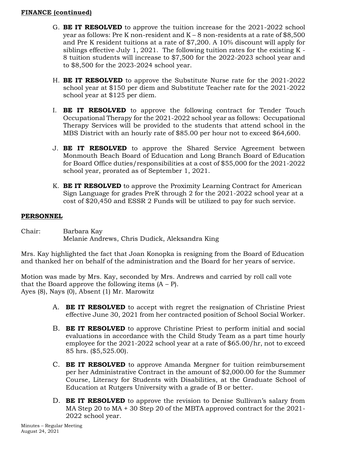# **FINANCE (continued)**

- G. **BE IT RESOLVED** to approve the tuition increase for the 2021-2022 school year as follows: Pre K non-resident and  $K - 8$  non-residents at a rate of \$8,500 and Pre K resident tuitions at a rate of \$7,200. A 10% discount will apply for siblings effective July 1, 2021. The following tuition rates for the existing K - 8 tuition students will increase to \$7,500 for the 2022-2023 school year and to \$8,500 for the 2023-2024 school year.
- H. **BE IT RESOLVED** to approve the Substitute Nurse rate for the 2021-2022 school year at \$150 per diem and Substitute Teacher rate for the 2021-2022 school year at \$125 per diem.
- I. **BE IT RESOLVED** to approve the following contract for Tender Touch Occupational Therapy for the 2021-2022 school year as follows: Occupational Therapy Services will be provided to the students that attend school in the MBS District with an hourly rate of \$85.00 per hour not to exceed \$64,600.
- J. **BE IT RESOLVED** to approve the Shared Service Agreement between Monmouth Beach Board of Education and Long Branch Board of Education for Board Office duties/responsibilities at a cost of \$55,000 for the 2021-2022 school year, prorated as of September 1, 2021.
- K. **BE IT RESOLVED** to approve the Proximity Learning Contract for American Sign Language for grades PreK through 2 for the 2021-2022 school year at a cost of \$20,450 and ESSR 2 Funds will be utilized to pay for such service.

# **PERSONNEL**

Chair: Barbara Kay Melanie Andrews, Chris Dudick, Aleksandra King

Mrs. Kay highlighted the fact that Joan Konopka is resigning from the Board of Education and thanked her on behalf of the administration and the Board for her years of service.

Motion was made by Mrs. Kay, seconded by Mrs. Andrews and carried by roll call vote that the Board approve the following items  $(A - P)$ . Ayes (8), Nays (0), Absent (1) Mr. Marowitz

- A. **BE IT RESOLVED** to accept with regret the resignation of Christine Priest effective June 30, 2021 from her contracted position of School Social Worker.
- B. **BE IT RESOLVED** to approve Christine Priest to perform initial and social evaluations in accordance with the Child Study Team as a part time hourly employee for the 2021-2022 school year at a rate of \$65.00/hr, not to exceed 85 hrs. (\$5,525.00).
- C. **BE IT RESOLVED** to approve Amanda Mergner for tuition reimbursement per her Administrative Contract in the amount of \$2,000.00 for the Summer Course, Literacy for Students with Disabilities, at the Graduate School of Education at Rutgers University with a grade of B or better.
- D. **BE IT RESOLVED** to approve the revision to Denise Sullivan's salary from MA Step 20 to MA + 30 Step 20 of the MBTA approved contract for the 2021- 2022 school year.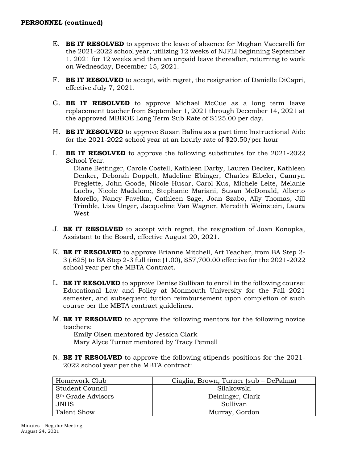- E. **BE IT RESOLVED** to approve the leave of absence for Meghan Vaccarelli for the 2021-2022 school year, utilizing 12 weeks of NJFLI beginning September 1, 2021 for 12 weeks and then an unpaid leave thereafter, returning to work on Wednesday, December 15, 2021.
- F. **BE IT RESOLVED** to accept, with regret, the resignation of Danielle DiCapri, effective July 7, 2021.
- G. **BE IT RESOLVED** to approve Michael McCue as a long term leave replacement teacher from September 1, 2021 through December 14, 2021 at the approved MBBOE Long Term Sub Rate of \$125.00 per day.
- H. **BE IT RESOLVED** to approve Susan Balina as a part time Instructional Aide for the 2021-2022 school year at an hourly rate of \$20.50/per hour
- I. **BE IT RESOLVED** to approve the following substitutes for the 2021-2022 School Year.

Diane Bettinger, Carole Costell, Kathleen Darby, Lauren Decker, Kathleen Denker, Deborah Doppelt, Madeline Ebinger, Charles Eibeler, Camryn Freglette, John Goode, Nicole Husar, Carol Kus, Michele Leite, Melanie Luebs, Nicole Madalone, Stephanie Mariani, Susan McDonald, Alberto Morello, Nancy Pavelka, Cathleen Sage, Joan Szabo, Ally Thomas, Jill Trimble, Lisa Unger, Jacqueline Van Wagner, Meredith Weinstein, Laura West

- J. **BE IT RESOLVED** to accept with regret, the resignation of Joan Konopka, Assistant to the Board, effective August 20, 2021.
- K. **BE IT RESOLVED** to approve Brianne Mitchell, Art Teacher, from BA Step 2- 3 (.625) to BA Step 2-3 full time (1.00), \$57,700.00 effective for the 2021-2022 school year per the MBTA Contract.
- L. **BE IT RESOLVED** to approve Denise Sullivan to enroll in the following course: Educational Law and Policy at Monmouth University for the Fall 2021 semester, and subsequent tuition reimbursement upon completion of such course per the MBTA contract guidelines.
- M. **BE IT RESOLVED** to approve the following mentors for the following novice teachers:

Emily Olsen mentored by Jessica Clark Mary Alyce Turner mentored by Tracy Pennell

N. **BE IT RESOLVED** to approve the following stipends positions for the 2021- 2022 school year per the MBTA contract:

| Homework Club                  | Ciaglia, Brown, Turner (sub - DePalma) |
|--------------------------------|----------------------------------------|
| Student Council                | Silakowski                             |
| 8 <sup>th</sup> Grade Advisors | Deininger, Clark                       |
| JNHS                           | Sullivan                               |
| Talent Show                    | Murray, Gordon                         |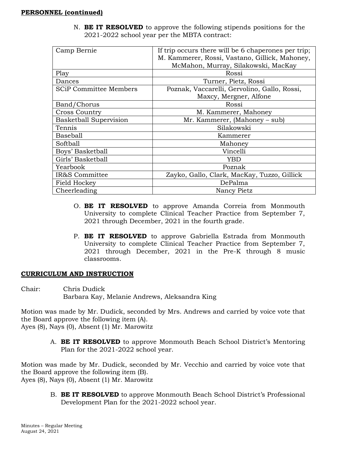| Camp Bernie                   | If trip occurs there will be 6 chaperones per trip; |
|-------------------------------|-----------------------------------------------------|
|                               | M. Kammerer, Rossi, Vastano, Gillick, Mahoney,      |
|                               | McMahon, Murray, Silakowski, MacKay                 |
| Play                          | Rossi                                               |
| Dances                        | Turner, Pietz, Rossi                                |
| <b>SCiP Committee Members</b> | Poznak, Vaccarelli, Gervolino, Gallo, Rossi,        |
|                               | Maxcy, Mergner, Alfone                              |
| Band/Chorus                   | Rossi                                               |
| <b>Cross Country</b>          | M. Kammerer, Mahoney                                |
| <b>Basketball Supervision</b> | Mr. Kammerer, (Mahoney – sub)                       |
| Tennis                        | Silakowski                                          |
| Baseball                      | Kammerer                                            |
| Softball                      | Mahoney                                             |
| Boys' Basketball              | Vincelli                                            |
| Girls' Basketball             | YBD                                                 |
| Yearbook                      | Poznak                                              |
| IR&S Committee                | Zayko, Gallo, Clark, MacKay, Tuzzo, Gillick         |
| Field Hockey                  | DePalma                                             |
| Cheerleading                  | Nancy Pietz                                         |

N. **BE IT RESOLVED** to approve the following stipends positions for the 2021-2022 school year per the MBTA contract:

- O. **BE IT RESOLVED** to approve Amanda Correia from Monmouth University to complete Clinical Teacher Practice from September 7, 2021 through December, 2021 in the fourth grade.
- P. **BE IT RESOLVED** to approve Gabriella Estrada from Monmouth University to complete Clinical Teacher Practice from September 7, 2021 through December, 2021 in the Pre-K through 8 music classrooms.

## **CURRICULUM AND INSTRUCTION**

Chair: Chris Dudick Barbara Kay, Melanie Andrews, Aleksandra King

Motion was made by Mr. Dudick, seconded by Mrs. Andrews and carried by voice vote that the Board approve the following item (A). Ayes (8), Nays (0), Absent (1) Mr. Marowitz

A. **BE IT RESOLVED** to approve Monmouth Beach School District's Mentoring Plan for the 2021-2022 school year.

Motion was made by Mr. Dudick, seconded by Mr. Vecchio and carried by voice vote that the Board approve the following item (B). Ayes (8), Nays (0), Absent (1) Mr. Marowitz

> B. **BE IT RESOLVED** to approve Monmouth Beach School District's Professional Development Plan for the 2021-2022 school year.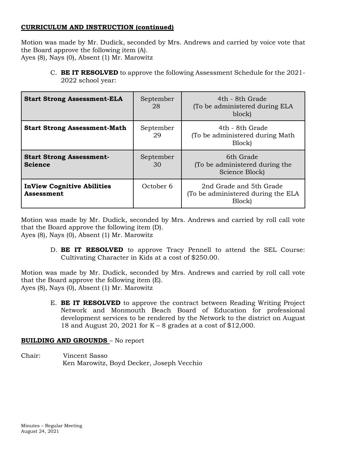# **CURRICULUM AND INSTRUCTION (continued)**

Motion was made by Mr. Dudick, seconded by Mrs. Andrews and carried by voice vote that the Board approve the following item (A). Ayes (8), Nays (0), Absent (1) Mr. Marowitz

C. **BE IT RESOLVED** to approve the following Assessment Schedule for the 2021- 2022 school year:

| <b>Start Strong Assessment-ELA</b>                     | September<br>28 | 4th - 8th Grade<br>(To be administered during ELA<br>block)             |
|--------------------------------------------------------|-----------------|-------------------------------------------------------------------------|
| <b>Start Strong Assessment-Math</b>                    | September<br>29 | 4th - 8th Grade<br>(To be administered during Math)<br>Block)           |
| <b>Start Strong Assessment-</b><br><b>Science</b>      | September<br>30 | 6th Grade<br>(To be administered during the<br>Science Block)           |
| <b>InView Cognitive Abilities</b><br><b>Assessment</b> | October 6       | 2nd Grade and 5th Grade<br>(To be administered during the ELA<br>Block) |

Motion was made by Mr. Dudick, seconded by Mrs. Andrews and carried by roll call vote that the Board approve the following item (D). Ayes (8), Nays (0), Absent (1) Mr. Marowitz

> D. **BE IT RESOLVED** to approve Tracy Pennell to attend the SEL Course: Cultivating Character in Kids at a cost of \$250.00.

Motion was made by Mr. Dudick, seconded by Mrs. Andrews and carried by roll call vote that the Board approve the following item (E). Ayes (8), Nays (0), Absent (1) Mr. Marowitz

> E. **BE IT RESOLVED** to approve the contract between Reading Writing Project Network and Monmouth Beach Board of Education for professional development services to be rendered by the Network to the district on August 18 and August 20, 2021 for K – 8 grades at a cost of \$12,000.

# **BUILDING AND GROUNDS** – No report

Chair: Vincent Sasso Ken Marowitz, Boyd Decker, Joseph Vecchio